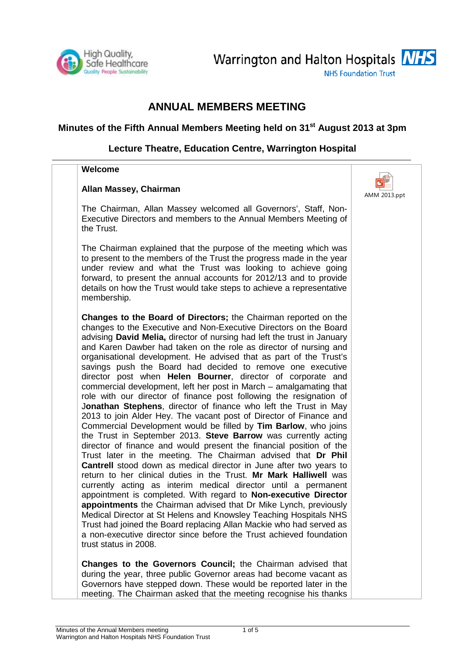

Warrington and Halton Hospitals **NHS** 

**NHS Foundation Trust** 

# **ANNUAL MEMBERS MEETING**

## **Minutes of the Fifth Annual Members Meeting held on 31st August 2013 at 3pm**

## **Lecture Theatre, Education Centre, Warrington Hospital**

#### **Welcome**

#### **Allan Massey, Chairman**

The Chairman, Allan Massey welcomed all Governors', Staff, Non-Executive Directors and members to the Annual Members Meeting of the Trust.

The Chairman explained that the purpose of the meeting which was to present to the members of the Trust the progress made in the year under review and what the Trust was looking to achieve going forward, to present the annual accounts for 2012/13 and to provide details on how the Trust would take steps to achieve a representative membership.

**Changes to the Board of Directors;** the Chairman reported on the changes to the Executive and Non-Executive Directors on the Board advising **David Melia,** director of nursing had left the trust in January and Karen Dawber had taken on the role as director of nursing and organisational development. He advised that as part of the Trust's savings push the Board had decided to remove one executive director post when **Helen Bourner**, director of corporate and commercial development, left her post in March – amalgamating that role with our director of finance post following the resignation of J**onathan Stephens**, director of finance who left the Trust in May 2013 to join Alder Hey. The vacant post of Director of Finance and Commercial Development would be filled by **Tim Barlow**, who joins the Trust in September 2013. **Steve Barrow** was currently acting director of finance and would present the financial position of the Trust later in the meeting. The Chairman advised that **Dr Phil Cantrell** stood down as medical director in June after two years to return to her clinical duties in the Trust. **Mr Mark Halliwell** was currently acting as interim medical director until a permanent appointment is completed. With regard to **Non-executive Director appointments** the Chairman advised that Dr Mike Lynch, previously Medical Director at St Helens and Knowsley Teaching Hospitals NHS Trust had joined the Board replacing Allan Mackie who had served as a non-executive director since before the Trust achieved foundation trust status in 2008.

**Changes to the Governors Council;** the Chairman advised that during the year, three public Governor areas had become vacant as Governors have stepped down. These would be reported later in the meeting. The Chairman asked that the meeting recognise his thanks

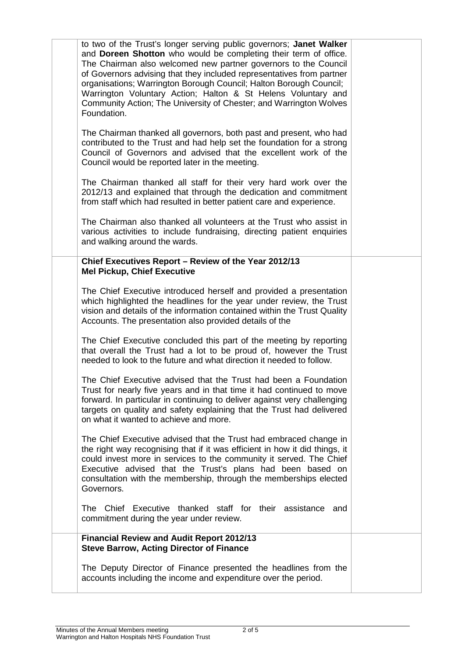| <b>Financial Review and Audit Report 2012/13</b><br><b>Steve Barrow, Acting Director of Finance</b><br>The Deputy Director of Finance presented the headlines from the<br>accounts including the income and expenditure over the period.                                                                                                                                                                                                                                                                        |  |
|-----------------------------------------------------------------------------------------------------------------------------------------------------------------------------------------------------------------------------------------------------------------------------------------------------------------------------------------------------------------------------------------------------------------------------------------------------------------------------------------------------------------|--|
| The Chief Executive thanked staff for their assistance and<br>commitment during the year under review.                                                                                                                                                                                                                                                                                                                                                                                                          |  |
| The Chief Executive advised that the Trust had embraced change in<br>the right way recognising that if it was efficient in how it did things, it<br>could invest more in services to the community it served. The Chief<br>Executive advised that the Trust's plans had been based on<br>consultation with the membership, through the memberships elected<br>Governors.                                                                                                                                        |  |
| The Chief Executive advised that the Trust had been a Foundation<br>Trust for nearly five years and in that time it had continued to move<br>forward. In particular in continuing to deliver against very challenging<br>targets on quality and safety explaining that the Trust had delivered<br>on what it wanted to achieve and more.                                                                                                                                                                        |  |
| The Chief Executive concluded this part of the meeting by reporting<br>that overall the Trust had a lot to be proud of, however the Trust<br>needed to look to the future and what direction it needed to follow.                                                                                                                                                                                                                                                                                               |  |
| Chief Executives Report - Review of the Year 2012/13<br><b>Mel Pickup, Chief Executive</b><br>The Chief Executive introduced herself and provided a presentation<br>which highlighted the headlines for the year under review, the Trust<br>vision and details of the information contained within the Trust Quality<br>Accounts. The presentation also provided details of the                                                                                                                                 |  |
| The Chairman also thanked all volunteers at the Trust who assist in<br>various activities to include fundraising, directing patient enquiries<br>and walking around the wards.                                                                                                                                                                                                                                                                                                                                  |  |
| The Chairman thanked all staff for their very hard work over the<br>2012/13 and explained that through the dedication and commitment<br>from staff which had resulted in better patient care and experience.                                                                                                                                                                                                                                                                                                    |  |
| The Chairman thanked all governors, both past and present, who had<br>contributed to the Trust and had help set the foundation for a strong<br>Council of Governors and advised that the excellent work of the<br>Council would be reported later in the meeting.                                                                                                                                                                                                                                               |  |
| to two of the Trust's longer serving public governors; Janet Walker<br>and Doreen Shotton who would be completing their term of office.<br>The Chairman also welcomed new partner governors to the Council<br>of Governors advising that they included representatives from partner<br>organisations; Warrington Borough Council; Halton Borough Council;<br>Warrington Voluntary Action; Halton & St Helens Voluntary and<br>Community Action; The University of Chester; and Warrington Wolves<br>Foundation. |  |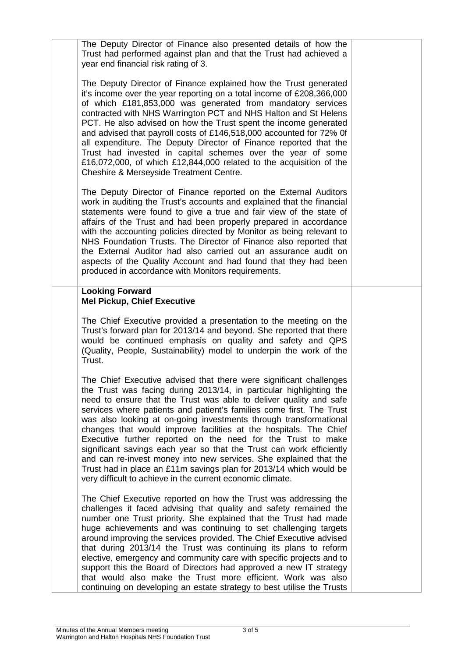| The Deputy Director of Finance also presented details of how the<br>Trust had performed against plan and that the Trust had achieved a<br>year end financial risk rating of 3.                                                                                                                                                                                                                                                                                                                                                                                                                                                                                                                                                                                                     |  |
|------------------------------------------------------------------------------------------------------------------------------------------------------------------------------------------------------------------------------------------------------------------------------------------------------------------------------------------------------------------------------------------------------------------------------------------------------------------------------------------------------------------------------------------------------------------------------------------------------------------------------------------------------------------------------------------------------------------------------------------------------------------------------------|--|
| The Deputy Director of Finance explained how the Trust generated<br>it's income over the year reporting on a total income of £208,366,000<br>of which £181,853,000 was generated from mandatory services<br>contracted with NHS Warrington PCT and NHS Halton and St Helens<br>PCT. He also advised on how the Trust spent the income generated<br>and advised that payroll costs of £146,518,000 accounted for 72% Of<br>all expenditure. The Deputy Director of Finance reported that the<br>Trust had invested in capital schemes over the year of some<br>£16,072,000, of which £12,844,000 related to the acquisition of the<br>Cheshire & Merseyside Treatment Centre.                                                                                                       |  |
| The Deputy Director of Finance reported on the External Auditors<br>work in auditing the Trust's accounts and explained that the financial<br>statements were found to give a true and fair view of the state of<br>affairs of the Trust and had been properly prepared in accordance<br>with the accounting policies directed by Monitor as being relevant to<br>NHS Foundation Trusts. The Director of Finance also reported that<br>the External Auditor had also carried out an assurance audit on<br>aspects of the Quality Account and had found that they had been<br>produced in accordance with Monitors requirements.                                                                                                                                                    |  |
| <b>Looking Forward</b><br><b>Mel Pickup, Chief Executive</b>                                                                                                                                                                                                                                                                                                                                                                                                                                                                                                                                                                                                                                                                                                                       |  |
| The Chief Executive provided a presentation to the meeting on the<br>Trust's forward plan for 2013/14 and beyond. She reported that there<br>would be continued emphasis on quality and safety and QPS<br>(Quality, People, Sustainability) model to underpin the work of the<br>Trust.                                                                                                                                                                                                                                                                                                                                                                                                                                                                                            |  |
| The Chief Executive advised that there were significant challenges<br>the Trust was facing during 2013/14, in particular highlighting the<br>need to ensure that the Trust was able to deliver quality and safe<br>services where patients and patient's families come first. The Trust<br>was also looking at on-going investments through transformational<br>changes that would improve facilities at the hospitals. The Chief<br>Executive further reported on the need for the Trust to make<br>significant savings each year so that the Trust can work efficiently<br>and can re-invest money into new services. She explained that the<br>Trust had in place an £11m savings plan for 2013/14 which would be<br>very difficult to achieve in the current economic climate. |  |
| The Chief Executive reported on how the Trust was addressing the<br>challenges it faced advising that quality and safety remained the<br>number one Trust priority. She explained that the Trust had made<br>huge achievements and was continuing to set challenging targets<br>around improving the services provided. The Chief Executive advised<br>that during 2013/14 the Trust was continuing its plans to reform<br>elective, emergency and community care with specific projects and to<br>support this the Board of Directors had approved a new IT strategy<br>that would also make the Trust more efficient. Work was also<br>continuing on developing an estate strategy to best utilise the Trusts                                                                    |  |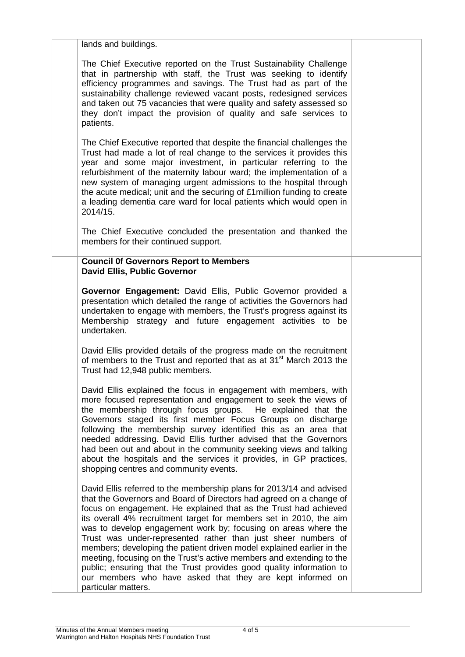| lands and buildings.                                                                                                                                                                                                                                                                                                                                                                                                                                                                                                                                                                                                                                                                                                                  |  |
|---------------------------------------------------------------------------------------------------------------------------------------------------------------------------------------------------------------------------------------------------------------------------------------------------------------------------------------------------------------------------------------------------------------------------------------------------------------------------------------------------------------------------------------------------------------------------------------------------------------------------------------------------------------------------------------------------------------------------------------|--|
| The Chief Executive reported on the Trust Sustainability Challenge<br>that in partnership with staff, the Trust was seeking to identify<br>efficiency programmes and savings. The Trust had as part of the<br>sustainability challenge reviewed vacant posts, redesigned services<br>and taken out 75 vacancies that were quality and safety assessed so<br>they don't impact the provision of quality and safe services to<br>patients.                                                                                                                                                                                                                                                                                              |  |
| The Chief Executive reported that despite the financial challenges the<br>Trust had made a lot of real change to the services it provides this<br>year and some major investment, in particular referring to the<br>refurbishment of the maternity labour ward; the implementation of a<br>new system of managing urgent admissions to the hospital through<br>the acute medical; unit and the securing of £1 million funding to create<br>a leading dementia care ward for local patients which would open in<br>2014/15.                                                                                                                                                                                                            |  |
| The Chief Executive concluded the presentation and thanked the<br>members for their continued support.                                                                                                                                                                                                                                                                                                                                                                                                                                                                                                                                                                                                                                |  |
| <b>Council Of Governors Report to Members</b><br><b>David Ellis, Public Governor</b>                                                                                                                                                                                                                                                                                                                                                                                                                                                                                                                                                                                                                                                  |  |
| Governor Engagement: David Ellis, Public Governor provided a<br>presentation which detailed the range of activities the Governors had<br>undertaken to engage with members, the Trust's progress against its<br>Membership strategy and future engagement activities to be<br>undertaken.                                                                                                                                                                                                                                                                                                                                                                                                                                             |  |
| David Ellis provided details of the progress made on the recruitment<br>of members to the Trust and reported that as at 31 <sup>st</sup> March 2013 the<br>Trust had 12,948 public members.                                                                                                                                                                                                                                                                                                                                                                                                                                                                                                                                           |  |
| David Ellis explained the focus in engagement with members, with<br>more focused representation and engagement to seek the views of<br>the membership through focus groups. He explained that the<br>Governors staged its first member Focus Groups on discharge<br>following the membership survey identified this as an area that<br>needed addressing. David Ellis further advised that the Governors<br>had been out and about in the community seeking views and talking<br>about the hospitals and the services it provides, in GP practices,<br>shopping centres and community events.                                                                                                                                         |  |
| David Ellis referred to the membership plans for 2013/14 and advised<br>that the Governors and Board of Directors had agreed on a change of<br>focus on engagement. He explained that as the Trust had achieved<br>its overall 4% recruitment target for members set in 2010, the aim<br>was to develop engagement work by; focusing on areas where the<br>Trust was under-represented rather than just sheer numbers of<br>members; developing the patient driven model explained earlier in the<br>meeting, focusing on the Trust's active members and extending to the<br>public; ensuring that the Trust provides good quality information to<br>our members who have asked that they are kept informed on<br>particular matters. |  |